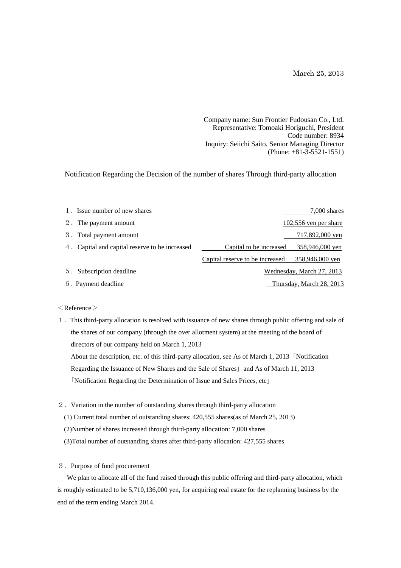March 25, 2013

Company name: Sun Frontier Fudousan Co., Ltd. Representative: Tomoaki Horiguchi, President Code number: 8934 Inquiry: Seiichi Saito, Senior Managing Director (Phone: +81-3-5521-1551)

Notification Regarding the Decision of the number of shares Through third-party allocation

| 1. Issue number of new shares                  |                                 | 7,000 shares              |
|------------------------------------------------|---------------------------------|---------------------------|
| 2. The payment amount                          |                                 | $102,556$ yen per share   |
| 3. Total payment amount                        |                                 | 717,892,000 yen           |
| 4. Capital and capital reserve to be increased | Capital to be increased         | 358,946,000 yen           |
|                                                | Capital reserve to be increased | 358,946,000 yen           |
| 5. Subscription deadline                       |                                 | Wednesday, March 27, 2013 |
| 6. Payment deadline                            |                                 | Thursday, March 28, 2013  |

## $\langle$  Reference $\rangle$

- 1.This third-party allocation is resolved with issuance of new shares through public offering and sale of the shares of our company (through the over allotment system) at the meeting of the board of directors of our company held on March 1, 2013 About the description, etc. of this third-party allocation, see As of March 1, 2013「Notification Regarding the Issuance of New Shares and the Sale of Shares and As of March 11, 2013 「Notification Regarding the Determination of Issue and Sales Prices, etc」
- 2.Variation in the number of outstanding shares through third-party allocation

(1) Current total number of outstanding shares: 420,555 shares(as of March 25, 2013) (2)Number of shares increased through third-party allocation: 7,000 shares (3)Total number of outstanding shares after third-party allocation: 427,555 shares

3.Purpose of fund procurement

We plan to allocate all of the fund raised through this public offering and third-party allocation, which is roughly estimated to be 5,710,136,000 yen, for acquiring real estate for the replanning business by the end of the term ending March 2014.